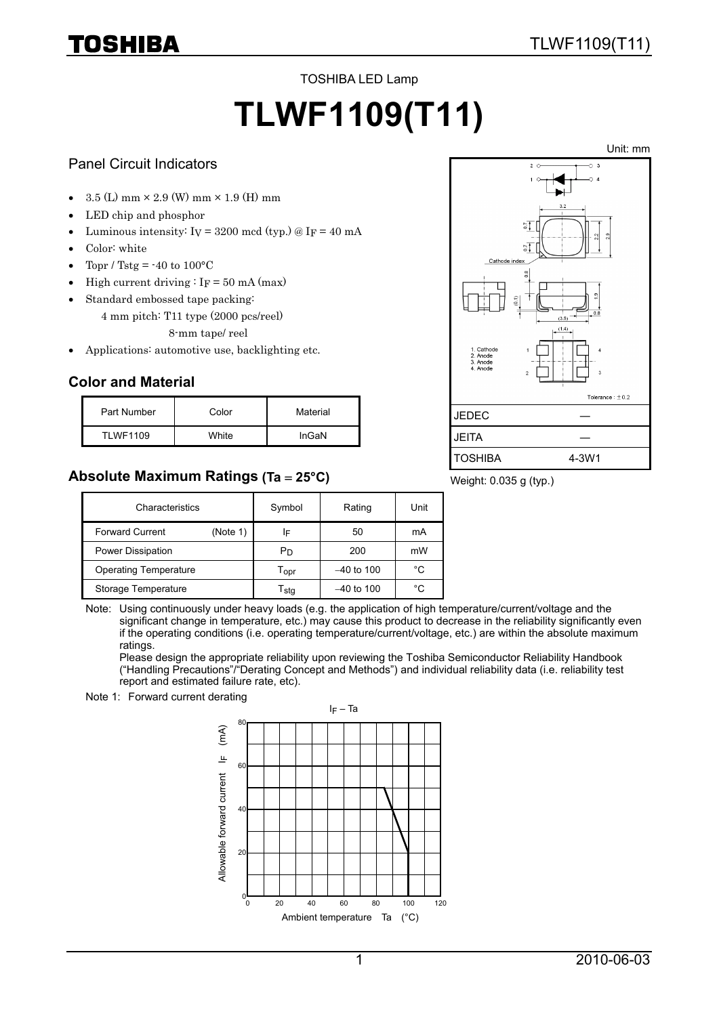# IOSHIBA

TOSHIBA LED Lamp

# **TLWF1109(T11)**

### Panel Circuit Indicators

- $3.5$  (L) mm  $\times$  2.9 (W) mm  $\times$  1.9 (H) mm
- LED chip and phosphor
- Luminous intensity:  $I_V = 3200$  mcd (typ.) @  $I_F = 40$  mA
- Color: white
- Topr / Tstg =  $-40$  to  $100^{\circ}$ C
- High current driving  $\cdot$  I<sub>F</sub> = 50 mA (max)
- Standard embossed tape packing:
	- 4 mm pitch: T11 type (2000 pcs/reel)
		- 8-mm tape/ reel
- Applications: automotive use, backlighting etc.

# **Color and Material**

| Part Number     | Color | Material |
|-----------------|-------|----------|
| <b>TLWF1109</b> | White | InGaN    |

# **Absolute Maximum Ratings (Ta** = **25°C)**



Weight: 0.035 g (typ.)

| Characteristics              |          | Symbol                      | Rating       | Unit |
|------------------------------|----------|-----------------------------|--------------|------|
| <b>Forward Current</b>       | (Note 1) | IF                          | 50           | mA   |
| Power Dissipation            |          | Pn                          | 200          | mW   |
| <b>Operating Temperature</b> |          | $\mathsf{T}_{\mathsf{OPT}}$ | $-40$ to 100 | °C   |
| Storage Temperature          |          | $\mathsf{r}_\mathsf{stq}$   | $-40$ to 100 | °C   |

Note: Using continuously under heavy loads (e.g. the application of high temperature/current/voltage and the significant change in temperature, etc.) may cause this product to decrease in the reliability significantly even if the operating conditions (i.e. operating temperature/current/voltage, etc.) are within the absolute maximum ratings.

Please design the appropriate reliability upon reviewing the Toshiba Semiconductor Reliability Handbook ("Handling Precautions"/"Derating Concept and Methods") and individual reliability data (i.e. reliability test report and estimated failure rate, etc).



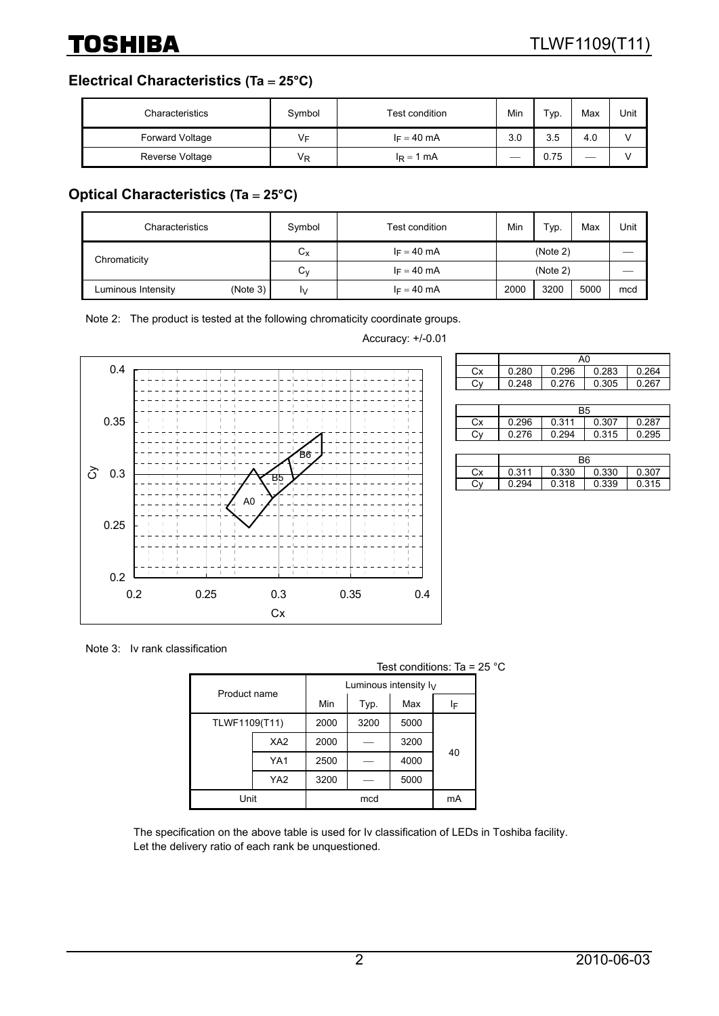**Electrical Characteristics (Ta** = **25°C)**

| Characteristics        | Symbol | Test condition | Min | Typ. | Max | Unit |
|------------------------|--------|----------------|-----|------|-----|------|
| <b>Forward Voltage</b> | VF     | $I_F = 40$ mA  | 3.0 | 3.5  | 4.0 |      |
| Reverse Voltage        | ٧R     | $I_R = 1$ mA   |     | 0.75 |     |      |

# **Optical Characteristics (Ta** = **25°C)**

| Characteristics                | Symbol      | Test condition | Min  | Typ.     | Max  | Unit |
|--------------------------------|-------------|----------------|------|----------|------|------|
| Chromaticity                   | $C_{\rm X}$ | $I_F = 40$ mA  |      | (Note 2) |      |      |
|                                | ⌒<br>Uν     | $I_F = 40$ mA  |      | (Note 2) |      |      |
| (Note 3)<br>Luminous Intensity | IV.         | $I_F = 40$ mA  | 2000 | 3200     | 5000 | mcd  |

Note 2: The product is tested at the following chromaticity coordinate groups.



Accuracy: +/-0.01

|    | A0                               |                         |       |       |  |
|----|----------------------------------|-------------------------|-------|-------|--|
| Сx | 0.280                            | 0.296<br>0.283<br>0.264 |       |       |  |
|    | 0.248                            | 0.276                   | 0.305 | 0.267 |  |
|    |                                  |                         |       |       |  |
|    | <b>B5</b>                        |                         |       |       |  |
| Cx | 0.296                            | 0.311<br>0.287<br>0.307 |       |       |  |
| Сy | 0.276<br>0.294<br>0.295<br>0.315 |                         |       |       |  |
|    |                                  |                         |       |       |  |
|    | Β6                               |                         |       |       |  |

|    | R6    |       |       |       |  |
|----|-------|-------|-------|-------|--|
| Сx | 0.311 | 0.330 | 0.330 | 0.307 |  |
|    | 0.294 | 0.318 | 0.339 | 0.315 |  |

Note 3: Iv rank classification

|  |                 |                 |      |      | Test conditions: Ta = $25^{\circ}$ C |    |  |
|--|-----------------|-----------------|------|------|--------------------------------------|----|--|
|  | Product name    |                 |      |      | Luminous intensity $I_V$             |    |  |
|  |                 |                 | Min  | Typ. | Max                                  | ΙF |  |
|  | TLWF1109(T11)   |                 | 2000 | 3200 | 5000                                 |    |  |
|  | XA <sub>2</sub> |                 | 2000 |      | 3200                                 |    |  |
|  |                 | YA1             | 2500 |      | 4000                                 | 40 |  |
|  |                 | YA <sub>2</sub> | 3200 |      | 5000                                 |    |  |
|  | Unit            |                 |      | mcd  |                                      | mA |  |

The specification on the above table is used for Iv classification of LEDs in Toshiba facility. Let the delivery ratio of each rank be unquestioned.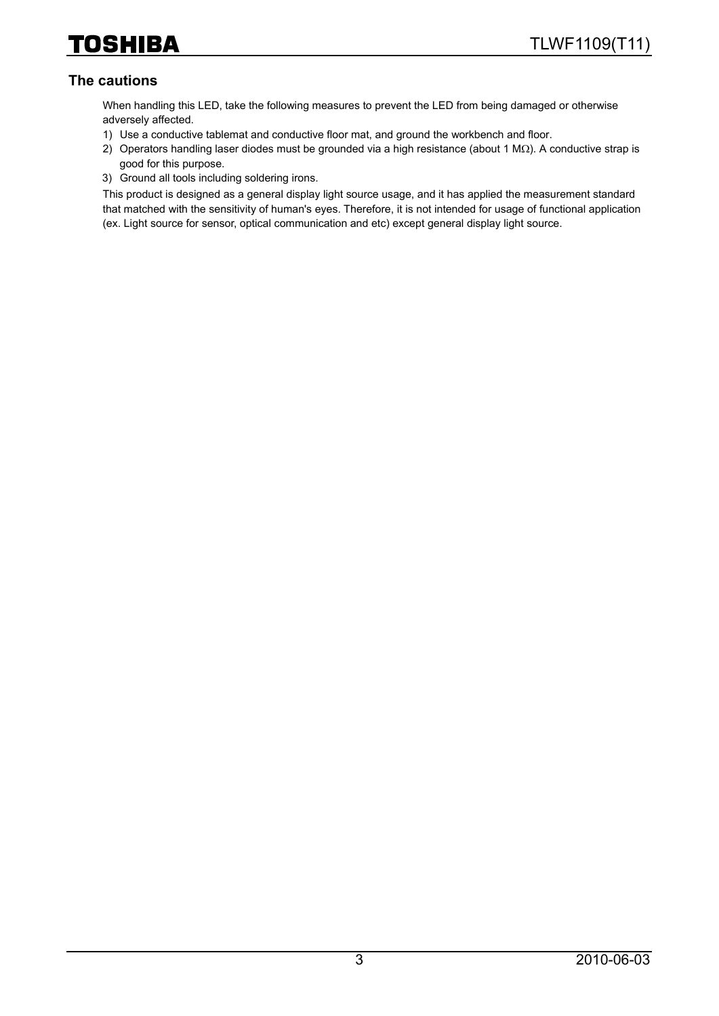# **The cautions**

When handling this LED, take the following measures to prevent the LED from being damaged or otherwise adversely affected.

- 1) Use a conductive tablemat and conductive floor mat, and ground the workbench and floor.
- 2) Operators handling laser diodes must be grounded via a high resistance (about 1 MΩ). A conductive strap is good for this purpose.
- 3) Ground all tools including soldering irons.

This product is designed as a general display light source usage, and it has applied the measurement standard that matched with the sensitivity of human's eyes. Therefore, it is not intended for usage of functional application (ex. Light source for sensor, optical communication and etc) except general display light source.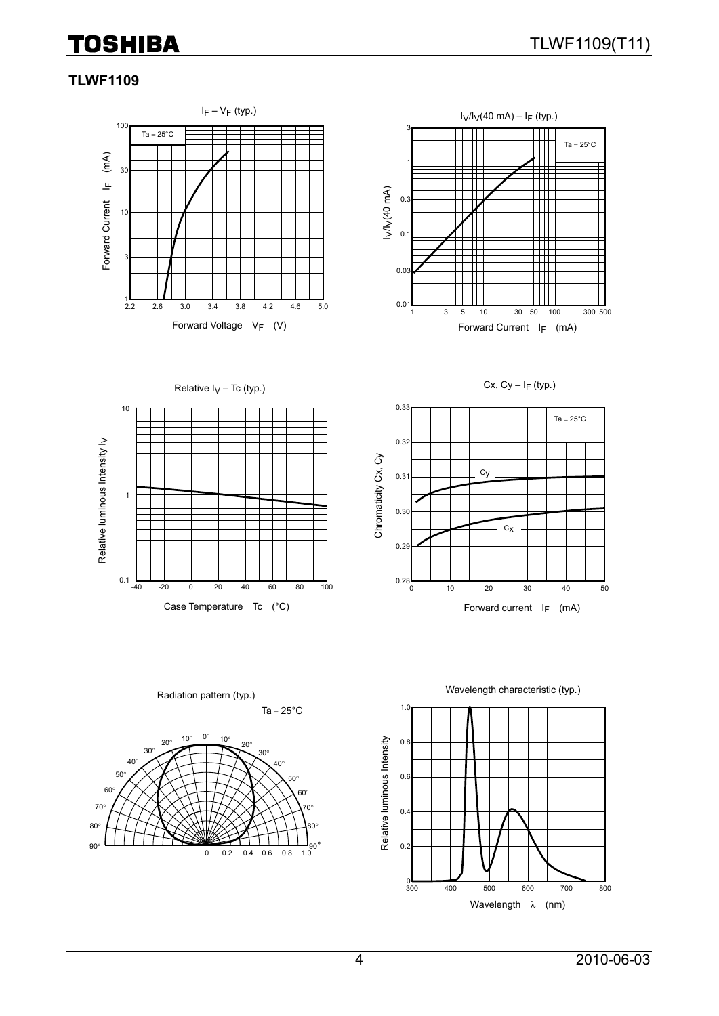# **TOSHIBA**

# **TLWF1109**





Cx,  $Cy - I_F$  (typ.)





Ta =  $25^{\circ}$ C Radiation pattern (typ.)





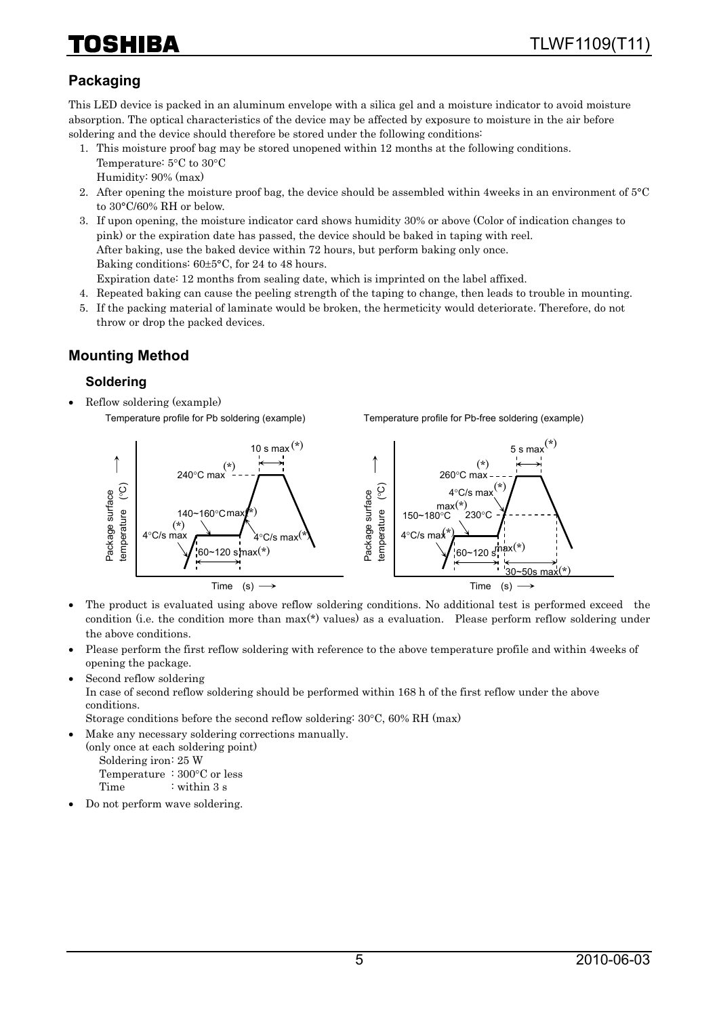# HIBA

# **Packaging**

This LED device is packed in an aluminum envelope with a silica gel and a moisture indicator to avoid moisture absorption. The optical characteristics of the device may be affected by exposure to moisture in the air before soldering and the device should therefore be stored under the following conditions:

- 1. This moisture proof bag may be stored unopened within 12 months at the following conditions. Temperature: 5°C to 30°C Humidity: 90% (max)
- 2. After opening the moisture proof bag, the device should be assembled within 4weeks in an environment of 5°C to 30°C/60% RH or below.
- 3. If upon opening, the moisture indicator card shows humidity 30% or above (Color of indication changes to pink) or the expiration date has passed, the device should be baked in taping with reel. After baking, use the baked device within 72 hours, but perform baking only once. Baking conditions: 60±5°C, for 24 to 48 hours. Expiration date: 12 months from sealing date, which is imprinted on the label affixed.
- 4. Repeated baking can cause the peeling strength of the taping to change, then leads to trouble in mounting.
- 5. If the packing material of laminate would be broken, the hermeticity would deteriorate. Therefore, do not throw or drop the packed devices.

# **Mounting Method**

#### **Soldering**

• Reflow soldering (example) Temperature profile for Pb soldering (example)

Temperature profile for Pb-free soldering (example)



- The product is evaluated using above reflow soldering conditions. No additional test is performed exceed the condition (i.e. the condition more than max(\*) values) as a evaluation. Please perform reflow soldering under the above conditions.
- Please perform the first reflow soldering with reference to the above temperature profile and within 4weeks of opening the package.
- Second reflow soldering

In case of second reflow soldering should be performed within 168 h of the first reflow under the above conditions.

Storage conditions before the second reflow soldering: 30°C, 60% RH (max)

• Make any necessary soldering corrections manually.

(only once at each soldering point) Soldering iron: 25 W Temperature : 300°C or less

Time : within 3 s

• Do not perform wave soldering.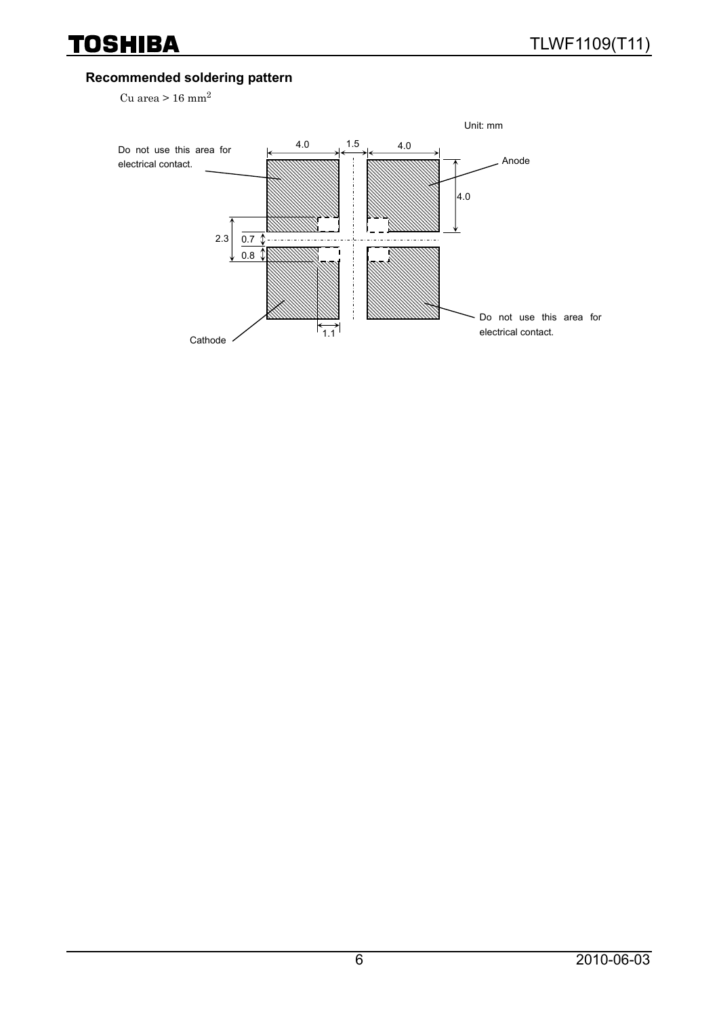# **Recommended soldering pattern**

Cu area >  $16$  mm<sup>2</sup>

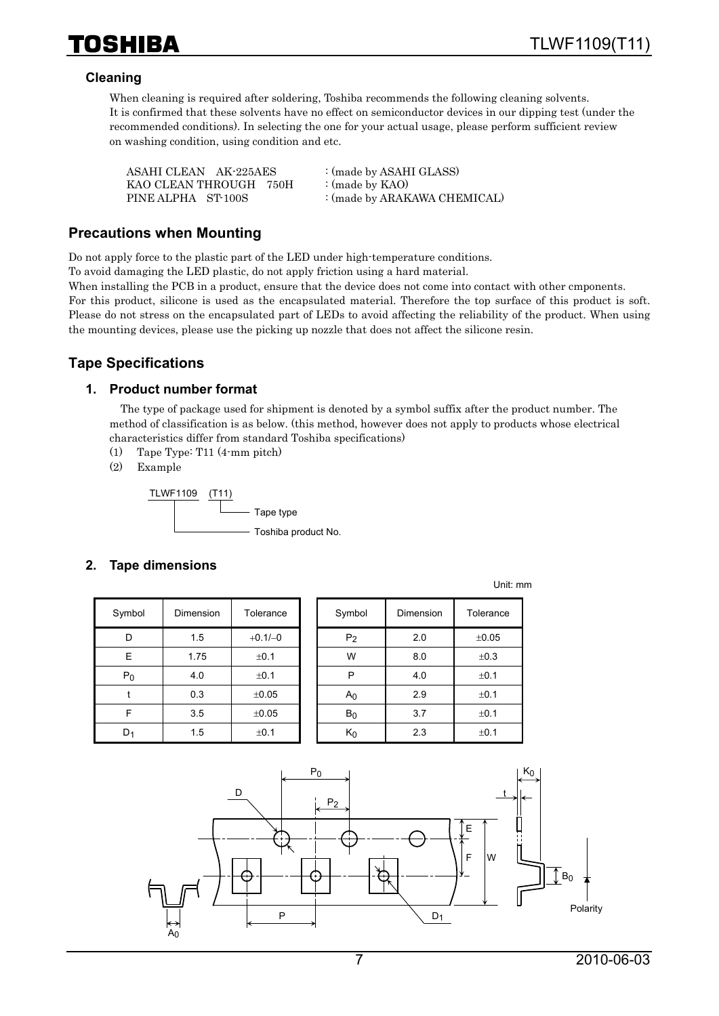

#### **Cleaning**

When cleaning is required after soldering, Toshiba recommends the following cleaning solvents. It is confirmed that these solvents have no effect on semiconductor devices in our dipping test (under the recommended conditions). In selecting the one for your actual usage, please perform sufficient review on washing condition, using condition and etc.

| ASAHI CLEAN AK-225AES  | : (made by ASAHI GLASS)      |
|------------------------|------------------------------|
| KAO CLEAN THROUGH 750H | : (made by $KAO$ )           |
| PINE ALPHA ST-100S     | : (made by ARAKAWA CHEMICAL) |

#### **Precautions when Mounting**

Do not apply force to the plastic part of the LED under high-temperature conditions.

To avoid damaging the LED plastic, do not apply friction using a hard material.

When installing the PCB in a product, ensure that the device does not come into contact with other cmponents. For this product, silicone is used as the encapsulated material. Therefore the top surface of this product is soft. Please do not stress on the encapsulated part of LEDs to avoid affecting the reliability of the product. When using the mounting devices, please use the picking up nozzle that does not affect the silicone resin.

# **Tape Specifications**

#### **1. Product number format**

The type of package used for shipment is denoted by a symbol suffix after the product number. The method of classification is as below. (this method, however does not apply to products whose electrical characteristics differ from standard Toshiba specifications)

- (1) Tape Type: T11 (4-mm pitch)
- (2) Example



#### **2. Tape dimensions**

| Symbol | Dimension | Tolerance |
|--------|-----------|-----------|
| D      | 1.5       | $+0.1/-0$ |
| E      | 1.75      | ±0.1      |
| $P_0$  | 4.0       | ±0.1      |
|        | 0.3       | ±0.05     |
| F      | 3.5       | ±0.05     |
| D٠     | 1.5       | ±0.1      |

| Symbol         | Dimension | Tolerance | Symbol         | Dimension | Tolerance |
|----------------|-----------|-----------|----------------|-----------|-----------|
| D              | 1.5       | $+0.1/-0$ | P <sub>2</sub> | 2.0       | ±0.05     |
| E              | 1.75      | ±0.1      | W              | 8.0       | ±0.3      |
| $P_0$          | 4.0       | ±0.1      | P              | 4.0       | ±0.1      |
|                | 0.3       | ±0.05     | A <sub>0</sub> | 2.9       | ±0.1      |
| F              | 3.5       | ±0.05     | B <sub>0</sub> | 3.7       | ±0.1      |
| D <sub>1</sub> | 1.5       | ±0.1      | $K_0$          | 2.3       | ±0.1      |

Unit: mm

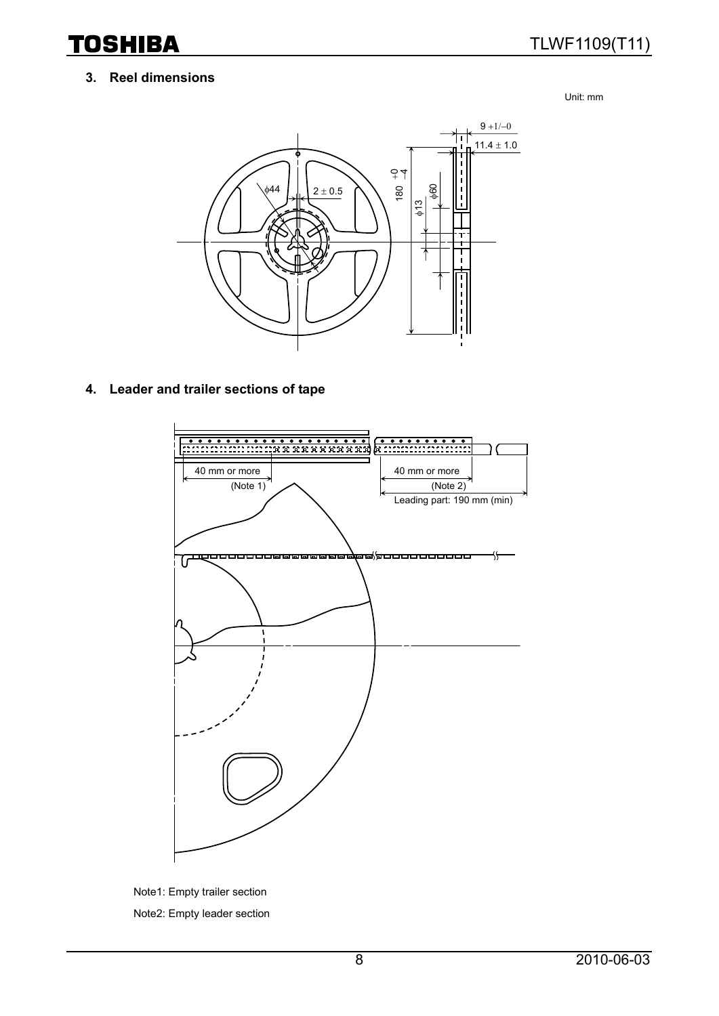**TOSHIBA** 

# TLWF1109(T11)

#### **3. Reel dimensions**

Unit: mm



### **4. Leader and trailer sections of tape**



Note1: Empty trailer section Note2: Empty leader section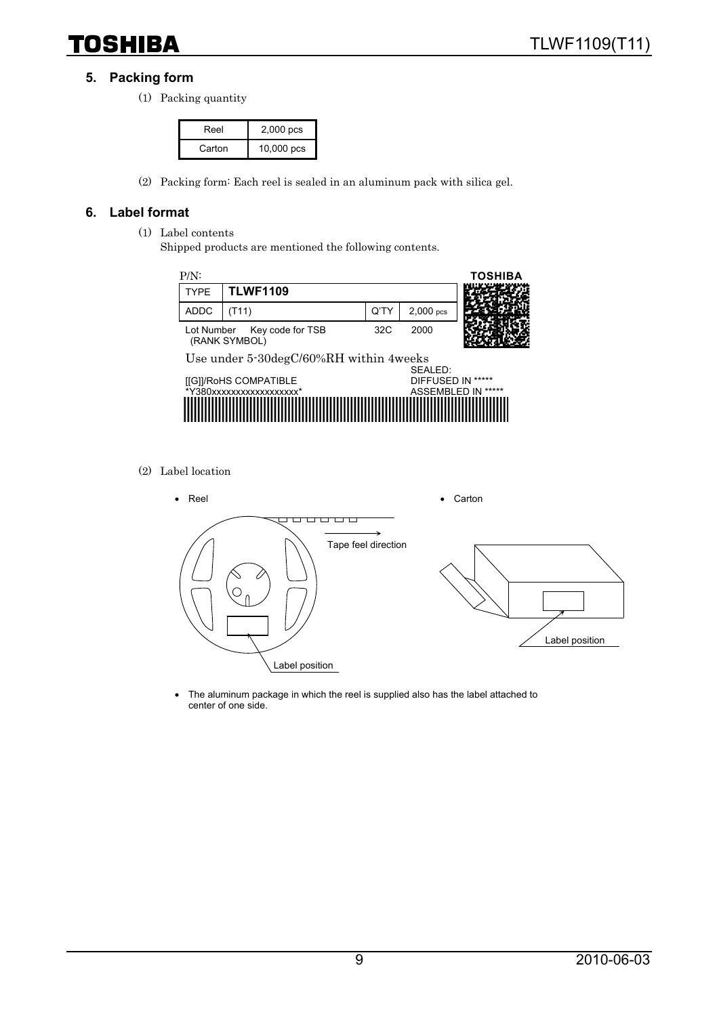# **TOSHIBA**

### **5. Packing form**

(1) Packing quantity

| Reel   | 2,000 pcs  |
|--------|------------|
| Carton | 10,000 pcs |

(2) Packing form: Each reel is sealed in an aluminum pack with silica gel.

#### **6. Label format**

- (1) Label contents
	- Shipped products are mentioned the following contents.



(2) Label location



• The aluminum package in which the reel is supplied also has the label attached to center of one side.